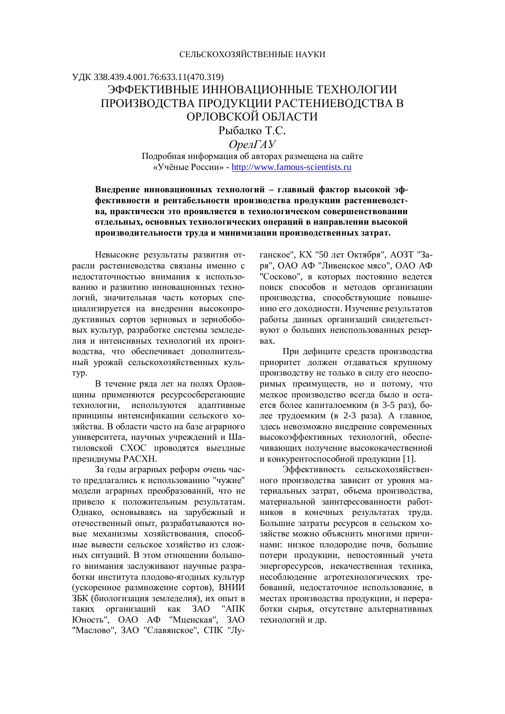# ɍȾɄ 338.439.4.001.76:633.11(470.319) ЭФФЕКТИВНЫЕ ИННОВАЦИОННЫЕ ТЕХНОЛОГИИ ПРОИЗВОДСТВА ПРОДУКЦИИ РАСТЕНИЕВОДСТВА В ОРЛОВСКОЙ ОБЛАСТИ

Рыбалко Т.С.

OpenΓ*A*<sub>y</sub>

Подробная информация об авторах размещена на сайте «Учёные России» - http://www.famous-scientists.ru

Внедрение инновационных технологий - главный фактор высокой эффективности и рентабельности производства продукции растениеводст**ва, практически это проявляется в технологическом совершенствовании ɨɬɞɟɥɶɧɵɯ, ɨɫɧɨɜɧɵɯɬɟɯɧɨɥɨɝɢɱɟɫɤɢɯɨɩɟɪɚɰɢɣɜɧɚɩɪɚɜɥɟɧɢɢɜɵɫɨɤɨɣ** производительности труда и минимизации производственных затрат.

Невысокие результаты развития отрасли растениеводства связаны именно с недостаточностью внимания к использованию и развитию инновационных технологий, значительная часть которых специализируется на внедрении высокопродуктивных сортов зерновых и зернобобовых культур, разработке системы земледелия и интенсивных технологий их производства, что обеспечивает дополнительный урожай сельскохозяйственных куль-Typ.

В течение ряда лет на полях Орловщины применяются ресурсосберегающие технологии, используются алаптивные принципы интенсификации сельского хозяйства. В области часто на базе аграрного университета, научных учреждений и Шатиловской СХОС проводятся выездные президиумы РАСХН.

За годы аграрных реформ очень часто предлагались к использованию "чужие" модели аграрных преобразований, что не привело к положительным результатам. Однако, основываясь на зарубежный и отечественный опыт, разрабатываются новые механизмы хозяйствования способные вывести сельское хозяйство из сложных ситуаций. В этом отношении большого внимания заслуживают научные разработки института плодово-ягодных культур (ускоренное размножение сортов), ВНИИ ЗБК (биологизация земледелия), их опыт в таких организаций как ЗАО "АПК Юность", ОАО АФ "Мценская", ЗАО "Маслово", ЗАО "Славянское", СПК "Луганское", КХ "50 лет Октября", АОЗТ "Заря", ОАО АФ "Ливенское мясо", ОАО АФ "Сосково", в которых постоянно ведется поиск способов и методов организации производства, способствующие повышению его доходности. Изучение результатов работы данных организаций свидетельст-• вуют о больших неиспользованных резер-Bax.

При дефиците средств производства приоритет должен отдаваться крупному производству не только в силу его неоспоримых преимуществ, но и потому, что мелкое производство всегда было и остается более капиталоемким (в 3-5 раз), более трудоемким (в 2-3 раза). А главное, здесь невозможно внедрение современных высокоэффективных технологий, обеспечивающих получение высококачественной и конкурентоспособной продукции [1].

Эффективность сельскохозяйственного производства зависит от уровня материальных затрат, объема производства, материальной заинтересованности работников в конечных результатах труда. Большие затраты ресурсов в сельском хозяйстве можно объяснить многими причинами: низкое плодородие почв, большие потери продукции, непостоянный учета энергоресурсов, некачественная техника, несоблюдение агротехнологических требований, недостаточное использование, в местах производства продукции, и переработки сырья, отсутствие альтернативных технологий и лр.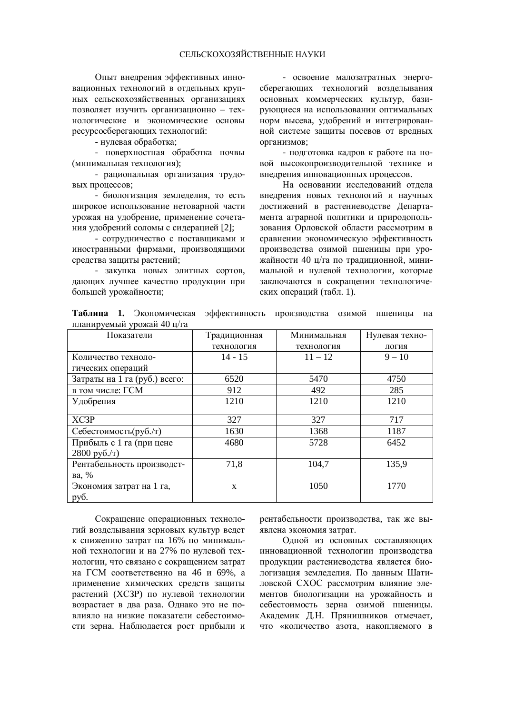Опыт внедрения эффективных инновационных технологий в отдельных крупных сельскохозяйственных организациях позволяет изучить организационно - технологические и экономические основы ресурсосберегающих технологий:

- нулевая обработка;

- поверхностная обработка почвы (минимальная технология);

- рациональная организация трудовых процессов;

- биологизация земледелия, то есть широкое использование нетоварной части урожая на удобрение, применение сочетания удобрений соломы с сидерацией [2];

- сотрудничество с поставщиками и иностранными фирмами, производящими средства защиты растений;

- закупка новых элитных сортов, дающих лучшее качество продукции при большей урожайности;

- освоение малозатратных энергосберегающих технологий возделывания основных коммерческих культур, базирующиеся на использовании оптимальных норм высева, удобрений и интегрированной системе защиты посевов от вредных организмов;

- подготовка кадров к работе на новой высокопроизводительной технике и внелрения инновационных процессов.

На основании исследований отдела внедрения новых технологий и научных достижений в растениеводстве Департамента аграрной политики и природопользования Орловской области рассмотрим в сравнении экономическую эффективность производства озимой пшеницы при урожайности 40 ц/га по традиционной, минимальной и нулевой технологии, которые заключаются в сокращении технологических операций (табл. 1).

Таблица 1. Экономическая эффективность производства озимой пшеницы на планируемый урожай 40 ц/га

| $\frac{1}{2}$                 |              |             |                |
|-------------------------------|--------------|-------------|----------------|
| Показатели                    | Традиционная | Минимальная | Нулевая техно- |
|                               | технология   | технология  | логия          |
| Количество техноло-           | $14 - 15$    | $11 - 12$   | $9 - 10$       |
| гических операций             |              |             |                |
| Затраты на 1 га (руб.) всего: | 6520         | 5470        | 4750           |
| в том числе: ГСМ              | 912          | 492         | 285            |
| Удобрения                     | 1210         | 1210        | 1210           |
|                               |              |             |                |
| XC3P                          | 327          | 327         | 717            |
| Себестоимость(руб./т)         | 1630         | 1368        | 1187           |
| Прибыль с 1 га (при цене      | 4680         | 5728        | 6452           |
| $2800 \text{ py}6./\text{T}$  |              |             |                |
| Рентабельность производст-    | 71,8         | 104,7       | 135,9          |
| ва, %                         |              |             |                |
| Экономия затрат на 1 га,      | X            | 1050        | 1770           |
| руб.                          |              |             |                |

Сокращение операционных технологий возделывания зерновых культур ведет к снижению затрат на 16% по минимальной технологии и на 27% по нулевой технологии, что связано с сокрашением затрат на ГСМ соответственно на 46 и 69%, а применение химических средств защиты растений (ХСЗР) по нулевой технологии возрастает в два раза. Однако это не повлияло на низкие показатели себестоимости зерна. Наблюдается рост прибыли и рентабельности производства, так же выявлена экономия затрат.

Одной из основных составляющих инновационной технологии производства продукции растениеводства является биологизация землелелия. По данным Шатиловской СХОС рассмотрим влияние элементов биологизации на урожайность и себестоимость зерна озимой пшеницы. Академик Д.Н. Прянишников отмечает, что «количество азота, накопляемого в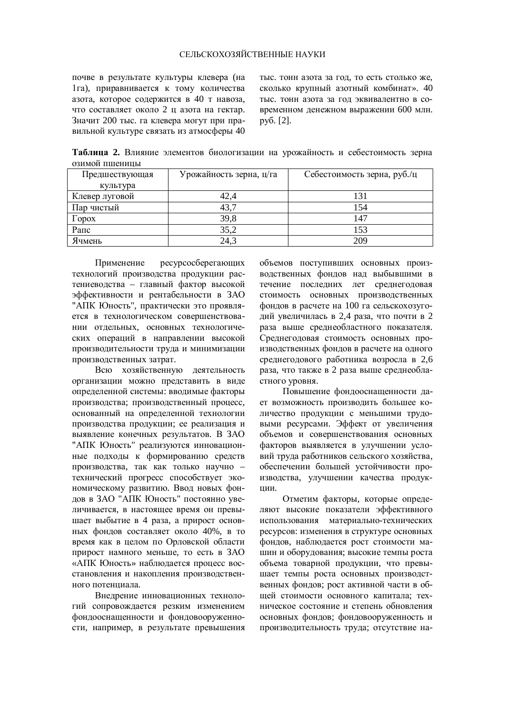### СЕЛЬСКОХОЗЯЙСТВЕННЫЕ НАУКИ

почве в результате культуры клевера (на 1га), приравнивается к тому количества азота, которое содержится в 40 т навоза. что составляет около 2 ц азота на гектар. Значит 200 тыс. га клевера могут при правильной культуре связать из атмосферы 40 тыс. тонн азота за год, то есть столько же, сколько крупный азотный комбинат». 40 тыс. тонн азота за год эквивалентно в современном ленежном выражении 600 млн. py<sub>0</sub>. [2].

Таблица 2. Влияние элементов биологизации на урожайность и себестоимость зерна озимой пшеницы

| Предшествующая | Урожайность зерна, ц/га | Себестоимость зерна, руб./ц |
|----------------|-------------------------|-----------------------------|
| культура       |                         |                             |
| Клевер луговой | 42,4                    | 131                         |
| Пар чистый     | 43,7                    | 154                         |
| $\Gamma$ opox  | 39,8                    | 147                         |
| Рапс           | 35,2                    | 153                         |
| Ячмень         | 24,3                    | 209                         |

Применение ресурсосберегающих технологий производства продукции растениеводства – главный фактор высокой эффективности и рентабельности в ЗАО "АПК Юность", практически это проявляется в технологическом совершенствовании отдельных, основных технологических операций в направлении высокой производительности труда и минимизации производственных затрат.

Всю хозяйственную деятельность организации можно представить в виде определенной системы: вводимые факторы производства; производственный процесс, основанный на определенной технологии производства продукции; ее реализация и выявление конечных результатов. В ЗАО "АПК Юность" реализуются инновационные подходы к формированию средств производства, так как только научно – технический прогресс способствует экономическому развитию. Ввод новых фондов в ЗАО "АПК Юность" постоянно увеличивается, в настоящее время он превышает выбытие в 4 раза, а прирост основных фондов составляет около 40%, в то время как в целом по Орловской области прирост намного меньше, то есть в ЗАО «АПК Юность» наблюдается процесс восстановления и накопления производственного потенциала.

Внедрение инновационных технологий сопровождается резким изменением фондооснащенности и фондовооруженности, например, в результате превышения объемов поступивших основных производственных фондов над выбывшими в течение последних лет среднегодовая стоимость основных производственных фондов в расчете на 100 га сельскохозугодий увеличилась в 2,4 раза, что почти в 2 раза выше среднеобластного показателя. Среднегодовая стоимость основных производственных фондов в расчете на одного среднегодового работника возросла в 2,6 раза, что также в 2 раза выше среднеобла-CTHOFO VDOBHA.

Повышение фондооснащенности дает возможность производить большее количество продукции с меньшими трудовыми ресурсами. Эффект от увеличения объемов и совершенствования основных факторов выявляется в улучшении условий труда работников сельского хозяйства, обеспечении большей устойчивости производства, улучшении качества продукнии.

Отметим факторы, которые определяют высокие показатели эффективного использования материально-технических ресурсов: изменения в структуре основных фондов, наблюдается рост стоимости машин и оборудования; высокие темпы роста объема товарной продукции, что превышает темпы роста основных производственных фондов; рост активной части в обшей стоимости основного капитала: техническое состояние и степень обновления основных фондов; фондовооруженность и производительность труда; отсутствие на-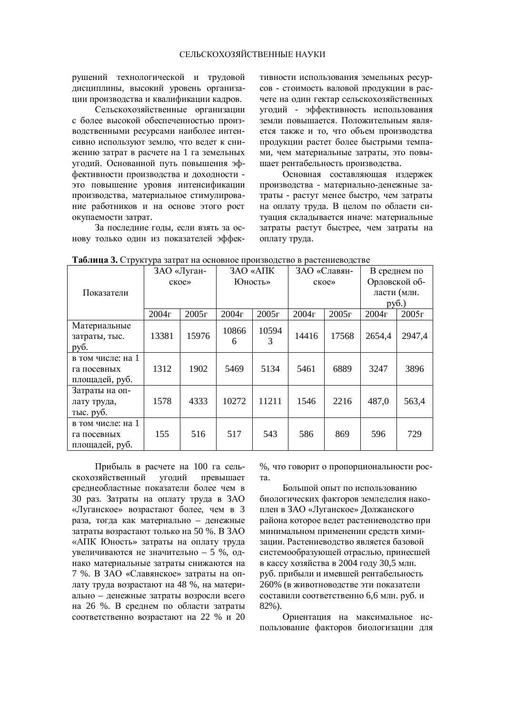рушений технологической и трудовой дисциплины, высокий уровень организации произволства и квалификации калров.

Сельскохозяйственные организации с более высокой обеспеченностью производственными ресурсами наиболее интенсивно используют землю, что ведет к снижению затрат в расчете на 1 га земельных угодий. Основанной путь повышения эффективности производства и доходности это повышение уровня интенсификации производства, материальное стимулирование работников и на основе этого рост окупаемости затрат.

За последние годы, если взять за основу только один из показателей эффективности использования земельных ресурсов - стоимость валовой продукции в расчете на один гектар сельскохозяйственных үгодий - эффективность использования земли повышается. Положительным является также и то, что объем производства продукции растет более быстрыми темпами, чем материальные затраты, это повышает рентабельность производства.

Основная составляющая издержек производства - материально-денежные затраты - растут менее быстро, чем затраты на оплату труда. В целом по области ситуация складывается иначе: материальные затраты растут быстрее, чем затраты на оплату труда.

| <b>I AVAINTA J.</b> CIPYNIYPA SAIPAI NA OCHOBHOC HPORSBOACIBO B PACICHRCBOACIBC |       |             |              |                  |       |              |               |              |
|---------------------------------------------------------------------------------|-------|-------------|--------------|------------------|-------|--------------|---------------|--------------|
|                                                                                 |       | ЗАО «Луган- |              | <b>3AO</b> «AIIK |       | ЗАО «Славян- |               | В среднем по |
|                                                                                 |       | ское»       |              | Юность»          |       | ское»        | Орловской об- |              |
| Показатели                                                                      |       |             |              |                  |       |              |               | ласти (млн.  |
|                                                                                 |       |             |              |                  |       |              | py6.)         |              |
|                                                                                 | 2004r | 2005r       | $2004\Gamma$ | 2005r            | 2004r | 2005r        | 2004r         | 2005r        |
| Материальные<br>затраты, тыс.<br>pyб.                                           | 13381 | 15976       | 10866<br>6   | 10594<br>3       | 14416 | 17568        | 2654,4        | 2947,4       |
| в том числе: на 1<br>га посевных<br>площадей, руб.                              | 1312  | 1902        | 5469         | 5134             | 5461  | 6889         | 3247          | 3896         |
| Затраты на оп-<br>лату труда,<br>тыс. руб.                                      | 1578  | 4333        | 10272        | 11211            | 1546  | 2216         | 487,0         | 563,4        |
| в том числе: на 1<br>га посевных<br>площадей, руб.                              | 155   | 516         | 517          | 543              | 586   | 869          | 596           | 729          |

| Таблица 3. Структура затрат на основное производство в растениеводстве |
|------------------------------------------------------------------------|
|------------------------------------------------------------------------|

Прибыль в расчете на 100 га сельскохозяйственный угодий превышает среднеобластные показатели более чем в 30 pas. Затраты на оплату труда в ЗАО «Луганское» возрастают более, чем в 3 раза, тогда как материально – денежные затраты возрастают только на 50 %. В ЗАО «АПК Юность» затраты на оплату труда увеличиваются не значительно – 5 %, однако материальные затраты снижаются на 7 %. В ЗАО «Славянское» затраты на оплату труда возрастают на 48 %, на материально – денежные затраты возросли всего на 26 %. В среднем по области затраты соответственно возрастают на 22 % и 20 %, что говорит о пропорциональности рос-Ta.

Большой опыт по использованию биологических факторов земледелия накоплен в ЗАО «Луганское» Должанского района которое ведет растениеводство при минимальном применении средств химизации. Растениеводство является базовой системообразующей отраслью, принесшей в кассу хозяйства в 2004 году 30,5 млн. руб. прибыли и имевшей рентабельность 260% (в животноводстве эти показатели составили соответственно 6,6 млн. руб. и 82%).

Ориентация на максимальное использование факторов биологизации для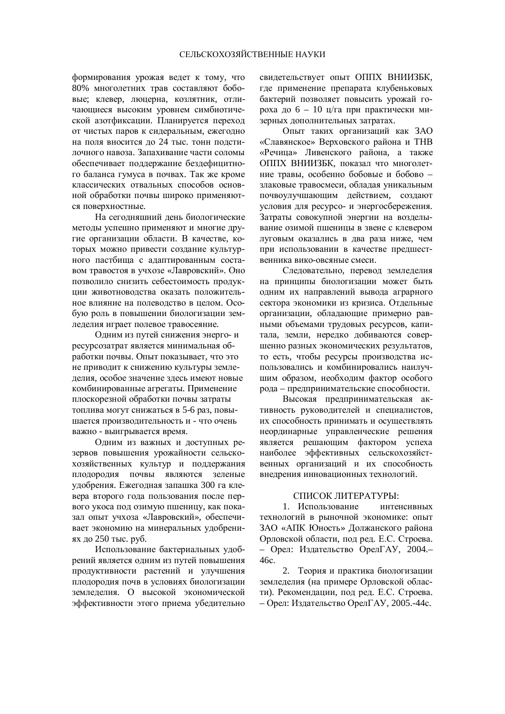формирования урожая ведет к тому, что 80% многолетних трав составляют бобовые: клевер, люцерна, козлятник, отличающиеся высоким уровнем симбиотической азотфиксации. Планируется переход от чистых паров к сидеральным, ежегодно на поля вносится до 24 тыс. тонн подстилочного навоза. Запахивание части соломы обеспечивает поддержание бездефицитного баланса гумуса в почвах. Так же кроме классических отвальных способов основной обработки почвы широко применяются поверхностные.

На сегодняшний день биологические методы успешно применяют и многие другие организации области. В качестве, которых можно привести создание культурного пастбища с адаптированным составом травостоя в учхозе «Лавровский». Оно позволило снизить себестоимость продукции животноводства оказать положительное влияние на полеволство в нелом. Особую роль в повышении биологизации земледелия играет полевое травосеяние.

Одним из путей снижения энерго- и ресурсозатрат является минимальная обработки почвы. Опыт показывает, что это не приводит к снижению культуры земледелия, особое значение здесь имеют новые комбинированные агрегаты. Применение плоскорезной обработки почвы затраты топлива могут снижаться в 5-6 раз, повышается производительность и - что очень важно - выигрывается время.

Одним из важных и доступных резервов повышения урожайности сельскохозяйственных культур и поддержания плодородия почвы являются зеленые удобрения. Ежегодная запашка 300 га клевера второго года пользования после первого укоса под озимую пшеницу, как показал опыт учхоза «Лавровский», обеспечивает экономию на минеральных удобрениях до 250 тыс. руб.

Использование бактериальных удобрений является одним из путей повышения продуктивности растений и улучшения плодородия почв в условиях биологизации землелелия. О высокой экономической эффективности этого приема убедительно свидетельствует опыт ОППХ ВНИИЗБК, где применение препарата клубеньковых бактерий позволяет повысить урожай гороха до  $6 - 10$  ц/га при практически мизерных дополнительных затратах.

Опыт таких организаций как ЗАО «Славянское» Верховского района и ТНВ «Речица» Ливенского района, а также ОППХ ВНИИЗБК, показал что многолетние травы, особенно бобовые и бобово – злаковые травосмеси, обладая уникальным почвоулучшающим действием, создают условия для ресурсо- и энергосбережения. Затраты совокупной энергии на возделывание озимой пшеницы в звене с клевером луговым оказались в два раза ниже, чем при использовании в качестве предшественника вико-овсяные смеси.

Следовательно, перевод земледелия на принципы биологизации может быть одним их направлений вывода аграрного сектора экономики из кризиса. Отдельные организации, обладающие примерно равными объемами трудовых ресурсов, капитала, земли, нередко добиваются совершенно разных экономических результатов, то есть, чтобы ресурсы производства использовались и комбинировались наилучшим образом, необходим фактор особого рода – предпринимательские способности.

Высокая предпринимательская активность руководителей и специалистов, их способность принимать и осуществлять неординарные управленческие решения является решающим фактором успеха наиболее эффективных сельскохозяйственных организаций и их способность внедрения инновационных технологий.

#### СПИСОК ЛИТЕРАТУРЫ:

1. Использование интенсивных технологий в рыночной экономике: опыт ЗАО «АПК Юность» Должанского района Орловской области, под ред. Е.С. Строева. – Орел: Издательство ОрелГАУ, 2004.– 46c.

2. Теория и практика биологизации земледелия (на примере Орловской области). Рекоменлации. под ред. Е.С. Строева. – Орел: Издательство Орел $\Gamma$ АУ, 2005.-44с.